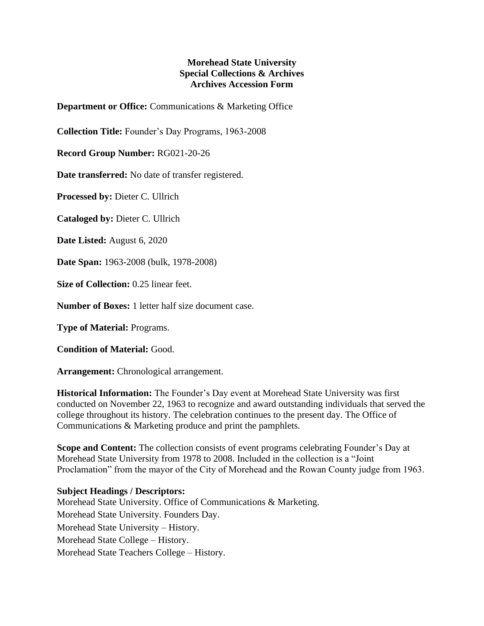## **Morehead State University Special Collections & Archives Archives Accession Form**

**Department or Office:** Communications & Marketing Office

**Collection Title:** Founder's Day Programs, 1963-2008

**Record Group Number:** RG021-20-26

**Date transferred:** No date of transfer registered.

**Processed by:** Dieter C. Ullrich

**Cataloged by:** Dieter C. Ullrich

**Date Listed:** August 6, 2020

**Date Span:** 1963-2008 (bulk, 1978-2008)

**Size of Collection:** 0.25 linear feet.

**Number of Boxes:** 1 letter half size document case.

**Type of Material:** Programs.

**Condition of Material:** Good.

**Arrangement:** Chronological arrangement.

**Historical Information:** The Founder's Day event at Morehead State University was first conducted on November 22, 1963 to recognize and award outstanding individuals that served the college throughout its history. The celebration continues to the present day. The Office of Communications & Marketing produce and print the pamphlets.

**Scope and Content:** The collection consists of event programs celebrating Founder's Day at Morehead State University from 1978 to 2008. Included in the collection is a "Joint Proclamation" from the mayor of the City of Morehead and the Rowan County judge from 1963.

## **Subject Headings / Descriptors:**

Morehead State University. Office of Communications & Marketing. Morehead State University. Founders Day. Morehead State University – History. Morehead State College – History. Morehead State Teachers College – History.